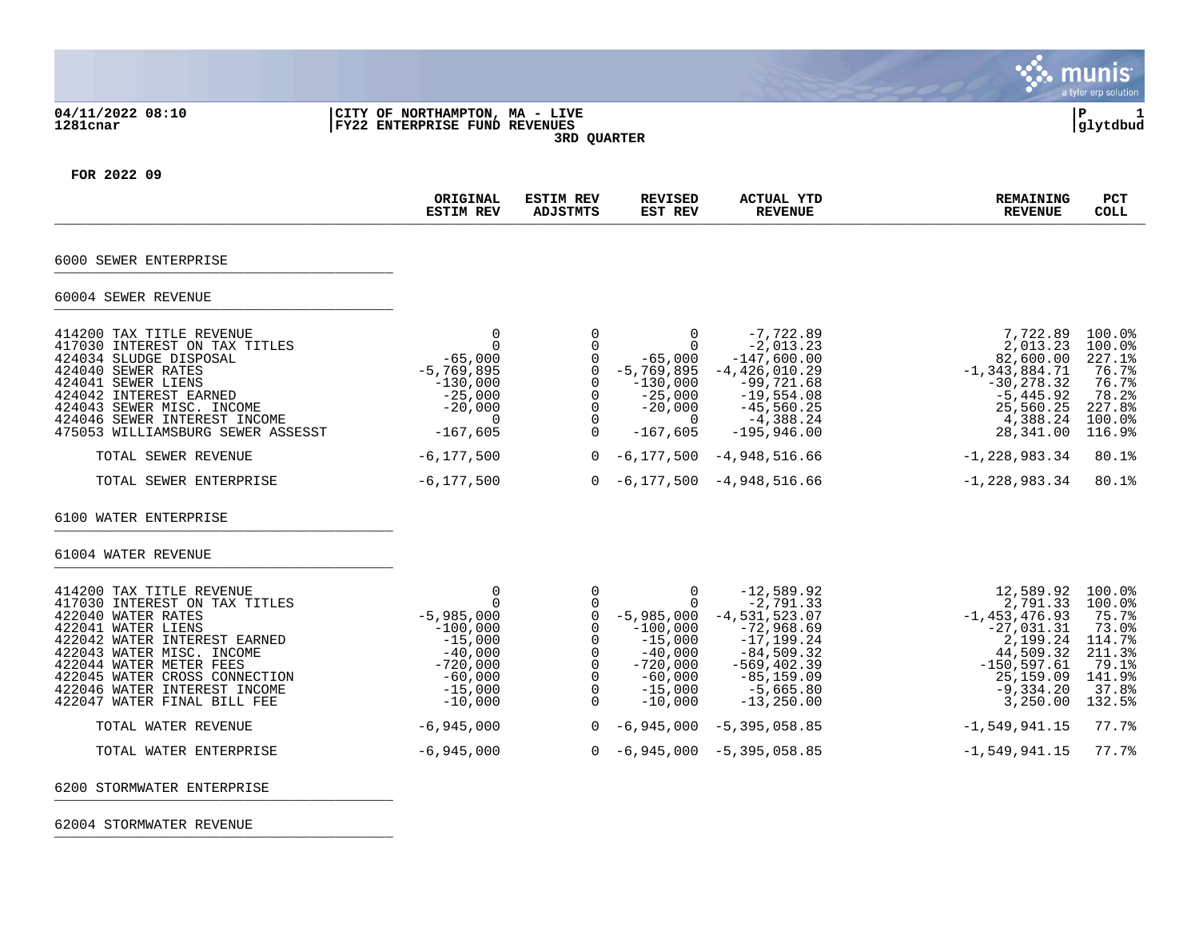|                                                                                                                                                                                                                                                                                               |                                                                                                                                         |                                                                                              |                                                                                                                                                                  |                                                                                                                                                                                   |                                                                                                                                               | munis<br>a tyler erp solution                                                                     |
|-----------------------------------------------------------------------------------------------------------------------------------------------------------------------------------------------------------------------------------------------------------------------------------------------|-----------------------------------------------------------------------------------------------------------------------------------------|----------------------------------------------------------------------------------------------|------------------------------------------------------------------------------------------------------------------------------------------------------------------|-----------------------------------------------------------------------------------------------------------------------------------------------------------------------------------|-----------------------------------------------------------------------------------------------------------------------------------------------|---------------------------------------------------------------------------------------------------|
| 04/11/2022 08:10<br>1281cnar                                                                                                                                                                                                                                                                  | CITY OF NORTHAMPTON, MA - LIVE<br><b>FY22 ENTERPRISE FUND REVENUES</b>                                                                  |                                                                                              | l P<br>1<br> glytdbud                                                                                                                                            |                                                                                                                                                                                   |                                                                                                                                               |                                                                                                   |
| FOR 2022 09                                                                                                                                                                                                                                                                                   |                                                                                                                                         |                                                                                              |                                                                                                                                                                  |                                                                                                                                                                                   |                                                                                                                                               |                                                                                                   |
|                                                                                                                                                                                                                                                                                               | ORIGINAL<br><b>ESTIM REV</b>                                                                                                            | <b>ESTIM REV</b><br>ADJSTMTS                                                                 | <b>REVISED</b><br>EST REV                                                                                                                                        | <b>ACTUAL YTD</b><br><b>REVENUE</b>                                                                                                                                               | <b>REMAINING</b><br><b>REVENUE</b>                                                                                                            | <b>PCT</b><br><b>COLL</b>                                                                         |
| 6000 SEWER ENTERPRISE                                                                                                                                                                                                                                                                         |                                                                                                                                         |                                                                                              |                                                                                                                                                                  |                                                                                                                                                                                   |                                                                                                                                               |                                                                                                   |
| 60004 SEWER REVENUE                                                                                                                                                                                                                                                                           |                                                                                                                                         |                                                                                              |                                                                                                                                                                  |                                                                                                                                                                                   |                                                                                                                                               |                                                                                                   |
| 414200 TAX TITLE REVENUE<br>417030 INTEREST ON TAX TITLES<br>424034 SLUDGE DISPOSAL<br>424040 SEWER RATES<br>424041 SEWER LIENS<br>424042 INTEREST EARNED<br>424043 SEWER MISC. INCOME<br>424046 SEWER INTEREST INCOME<br>475053 WILLIAMSBURG SEWER ASSESST                                   | $\Omega$<br>$\Omega$<br>$-65,000$<br>-5,769,895<br>$-130,000$<br>$-25,000$<br>$-20,000$<br>$-167,605$                                   | $\begin{bmatrix} 0 \\ 0 \\ 0 \\ 0 \\ 0 \\ 0 \end{bmatrix}$<br>$\Omega$                       | $\begin{matrix} 0 & & & 0 \\ 0 & & & 0 \end{matrix}$<br>$0 -65,000$<br>$0 - 5, 769, 895$<br>$-130,000$<br>$-25,000$<br>$-20,000$<br>$\overline{0}$<br>$-167,605$ | $-7,722.89$<br>$-2,013.23$<br>$-147,600.00$<br>$-4,426,010.29$<br>-99,721.68<br>$-19,554.08$<br>$-45,560.25$<br>$-4,388.24$<br>$-195,946.00$                                      | 7,722.89<br>2,013.23<br>82,600.00<br>$-1,343,884.71$<br>$-30, 278.32$<br>$-5,445.92$<br>25,560.25<br>4,388.24<br>28,341.00                    | $100.0$ <sup>8</sup><br>100.0%<br>227.1%<br>76.7%<br>76.7%<br>78.2%<br>227.8%<br>100.0%<br>116.9% |
| TOTAL SEWER REVENUE                                                                                                                                                                                                                                                                           | -6,177,500                                                                                                                              |                                                                                              |                                                                                                                                                                  | $0 - 6,177,500 - 4,948,516.66$                                                                                                                                                    | $-1,228,983.34$                                                                                                                               | 80.1%                                                                                             |
| TOTAL SEWER ENTERPRISE                                                                                                                                                                                                                                                                        | $-6$ ,177,500                                                                                                                           |                                                                                              |                                                                                                                                                                  | $0 - 6,177,500 - 4,948,516.66$                                                                                                                                                    | $-1, 228, 983.34$                                                                                                                             | 80.1%                                                                                             |
| 6100 WATER ENTERPRISE                                                                                                                                                                                                                                                                         |                                                                                                                                         |                                                                                              |                                                                                                                                                                  |                                                                                                                                                                                   |                                                                                                                                               |                                                                                                   |
| 61004 WATER REVENUE                                                                                                                                                                                                                                                                           |                                                                                                                                         |                                                                                              |                                                                                                                                                                  |                                                                                                                                                                                   |                                                                                                                                               |                                                                                                   |
| 414200 TAX TITLE REVENUE<br>417030 INTEREST ON TAX TITLES<br>422040 WATER RATES<br>422041 WATER LIENS<br>422042 WATER INTEREST EARNED<br>422043 WATER MISC. INCOME<br>422044 WATER METER FEES<br>422045 WATER CROSS CONNECTION<br>422046 WATER INTEREST INCOME<br>422047 WATER FINAL BILL FEE | $\Omega$<br>$\overline{0}$<br>$-5,985,000$<br>$-100,000$<br>$-15,000$<br>$-40,000$<br>$-720,000$<br>$-60,000$<br>$-15,000$<br>$-10,000$ | $\Omega$<br>$\Omega$<br>$\overline{0}$<br>$\overline{0}$<br>$\Omega$<br>$\Omega$<br>$\Omega$ | $\begin{matrix} 0 & & & 0 \\ 0 & & & 0 \end{matrix}$<br>$-100,000$<br>$-15,000$<br>$-40,000$<br>$-720,000$<br>$-60,000$<br>$-15,000$<br>$-10,000$                | $-12,589.92$<br>$-2,791.33$<br>$0 - 5,985,000 - 4,531,523.07$<br>$-72,968.69$<br>$-17, 199.24$<br>$-84,509.32$<br>$-569, 402.39$<br>$-85, 159.09$<br>$-5,665.80$<br>$-13, 250.00$ | 12,589.92<br>2,791.33<br>$-1, 453, 476.93$<br>$-27,031.31$<br>2,199.24<br>44,509.32<br>$-150, 597.61$<br>25,159.09<br>$-9,334.20$<br>3,250.00 | 100.0%<br>100.0%<br>75.7%<br>73.0%<br>114.7%<br>211.3%<br>79.1%<br>141.9%<br>37.8%<br>132.5%      |
| TOTAL WATER REVENUE                                                                                                                                                                                                                                                                           | -6,945,000                                                                                                                              | $\overline{0}$                                                                               |                                                                                                                                                                  | $-6,945,000 -5,395,058.85$                                                                                                                                                        | $-1,549,941.15$                                                                                                                               | 77.7%                                                                                             |
| TOTAL WATER ENTERPRISE                                                                                                                                                                                                                                                                        | $-6,945,000$                                                                                                                            |                                                                                              |                                                                                                                                                                  | $0 - 6,945,000 - 5,395,058.85$                                                                                                                                                    | $-1,549,941.15$                                                                                                                               | 77.7%                                                                                             |

6200 STORMWATER ENTERPRISE

## 62004 STORMWATER REVENUE \_\_\_\_\_\_\_\_\_\_\_\_\_\_\_\_\_\_\_\_\_\_\_\_\_\_\_\_\_\_\_\_\_\_\_\_\_\_\_\_\_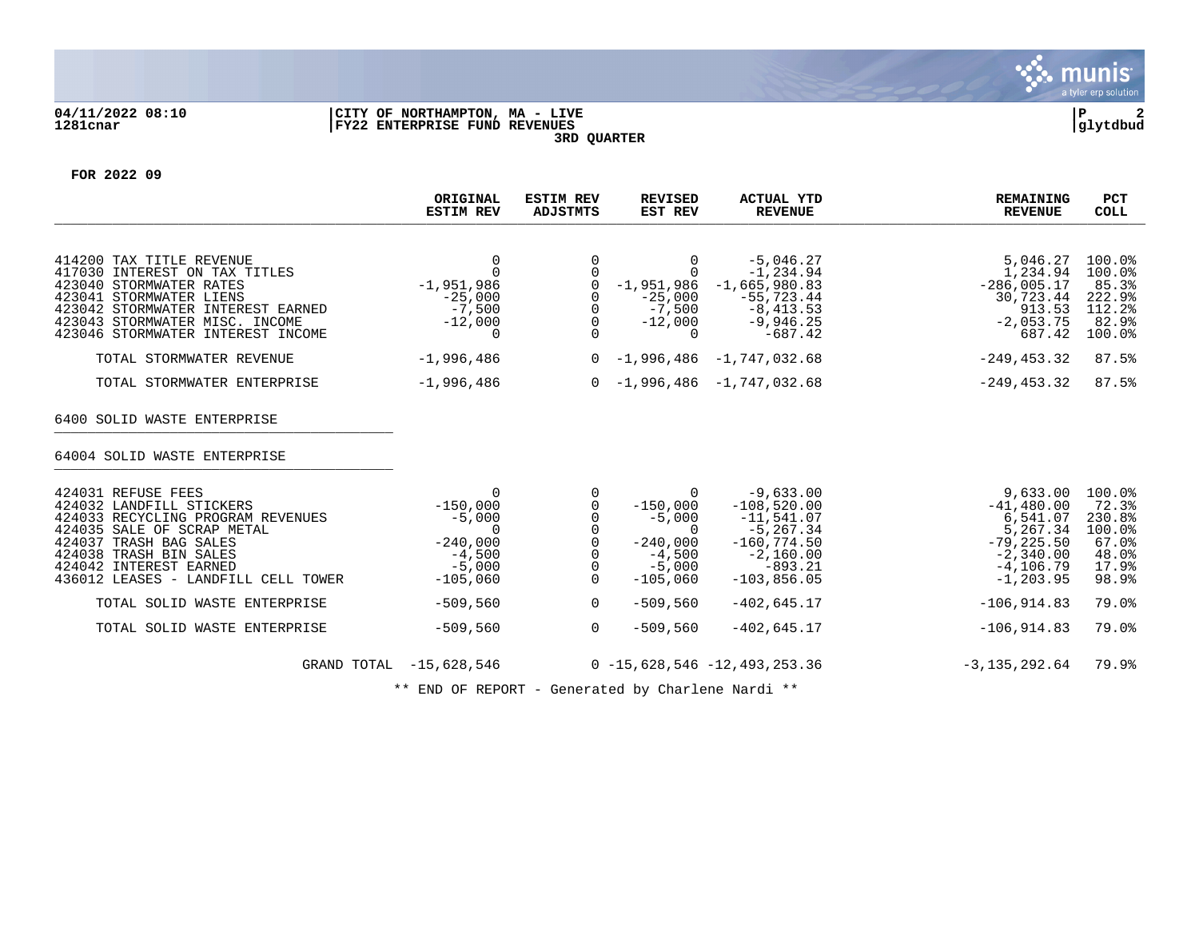

## **04/11/2022 08:10 |CITY OF NORTHAMPTON, MA - LIVE |P 2 1281cnar |FY22 ENTERPRISE FUND REVENUES |glytdbud 3RD QUARTER**



**FOR 2022 09**

|                                                                                                                                                                                                                                        | ORIGINAL<br><b>ESTIM REV</b>                                                                       | <b>ESTIM REV</b><br><b>ADJSTMTS</b>                                                                         | <b>REVISED</b><br>EST REV                                                                             | <b>ACTUAL YTD</b><br><b>REVENUE</b>                                                                                         | <b>REMAINING</b><br><b>REVENUE</b>                                                                                 | <b>PCT</b><br><b>COLL</b>                                               |
|----------------------------------------------------------------------------------------------------------------------------------------------------------------------------------------------------------------------------------------|----------------------------------------------------------------------------------------------------|-------------------------------------------------------------------------------------------------------------|-------------------------------------------------------------------------------------------------------|-----------------------------------------------------------------------------------------------------------------------------|--------------------------------------------------------------------------------------------------------------------|-------------------------------------------------------------------------|
| 414200 TAX TITLE REVENUE<br>417030 INTEREST ON TAX TITLES<br>423040 STORMWATER RATES<br>423041 STORMWATER LIENS<br>423042 STORMWATER INTEREST EARNED<br>423043 STORMWATER MISC. INCOME<br>423046 STORMWATER INTEREST INCOME            | $\Omega$<br>$\Omega$<br>$-1,951,986$<br>$-25,000$<br>$-7,500$<br>$-12,000$<br>$\Omega$             | $\mathbf 0$<br>0<br>$\begin{matrix} 0 \\ 0 \\ 0 \end{matrix}$<br>$\mathbf 0$                                | $\Omega$<br>0<br>$-25,000$<br>$-7,500$<br>$-12,000$<br>$\Omega$                                       | $-5,046.27$<br>$-1, 234.94$<br>$-1, 951, 986 -1, 665, 980.83$<br>$-55,723.44$<br>$-8,413.53$<br>$-9,946.25$<br>$-687.42$    | 5,046.27<br>1,234.94<br>$-286,005.17$<br>30,723.44<br>913.53<br>$-2,053.75$<br>687.42                              | 100.0%<br>100.0%<br>85.3%<br>222.9%<br>112.2%<br>82.9%<br>100.0%        |
| TOTAL STORMWATER REVENUE                                                                                                                                                                                                               | $-1,996,486$                                                                                       |                                                                                                             |                                                                                                       | $0 -1,996,486 -1,747,032.68$                                                                                                | $-249, 453.32$                                                                                                     | 87.5%                                                                   |
| TOTAL STORMWATER ENTERPRISE                                                                                                                                                                                                            | $-1,996,486$                                                                                       |                                                                                                             |                                                                                                       | $0 -1,996,486 -1,747,032.68$                                                                                                | $-249, 453.32$                                                                                                     | 87.5%                                                                   |
| 6400 SOLID WASTE ENTERPRISE<br>64004 SOLID WASTE ENTERPRISE                                                                                                                                                                            |                                                                                                    |                                                                                                             |                                                                                                       |                                                                                                                             |                                                                                                                    |                                                                         |
| 424031 REFUSE FEES<br>424032 LANDFILL STICKERS<br>424033 RECYCLING PROGRAM REVENUES<br>424035 SALE OF SCRAP METAL<br>424037 TRASH BAG SALES<br>424038 TRASH BIN SALES<br>424042 INTEREST EARNED<br>436012 LEASES - LANDFILL CELL TOWER | $\Omega$<br>$-150,000$<br>$-5,000$<br>$\Omega$<br>$-240,000$<br>$-4,500$<br>$-5,000$<br>$-105,060$ | 0<br>$\mathsf{O}$<br>$\mathsf{O}$<br>$\mathbf 0$<br>$\mathbf 0$<br>$\mathsf{O}$<br>$\mathsf{O}$<br>$\Omega$ | $\Omega$<br>$-150,000$<br>$-5,000$<br>$\mathbf 0$<br>$-240,000$<br>$-4,500$<br>$-5,000$<br>$-105,060$ | $-9,633.00$<br>$-108,520.00$<br>$-11,541.07$<br>$-5, 267.34$<br>$-160, 774.50$<br>$-2,160.00$<br>$-893.21$<br>$-103,856.05$ | 9,633.00<br>$-41, 480, 00$<br>6,541.07<br>5,267.34<br>$-79, 225.50$<br>$-2,340.00$<br>$-4, 106.79$<br>$-1, 203.95$ | 100.0%<br>72.3%<br>230.8%<br>100.0%<br>67.0%<br>48.0%<br>17.9%<br>98.9% |
| TOTAL SOLID WASTE ENTERPRISE                                                                                                                                                                                                           | $-509,560$                                                                                         | $\overline{0}$                                                                                              | $-509,560$                                                                                            | $-402, 645.17$                                                                                                              | $-106, 914.83$                                                                                                     | 79.0%                                                                   |
| TOTAL SOLID WASTE ENTERPRISE                                                                                                                                                                                                           | $-509,560$                                                                                         | $\Omega$                                                                                                    | $-509,560$                                                                                            | $-402,645.17$                                                                                                               | $-106, 914.83$                                                                                                     | 79.0%                                                                   |
|                                                                                                                                                                                                                                        | GRAND TOTAL -15,628,546                                                                            |                                                                                                             |                                                                                                       | $0 - 15,628,546 - 12,493,253.36$                                                                                            | $-3, 135, 292.64$                                                                                                  | 79.9%                                                                   |

\*\* END OF REPORT - Generated by Charlene Nardi \*\*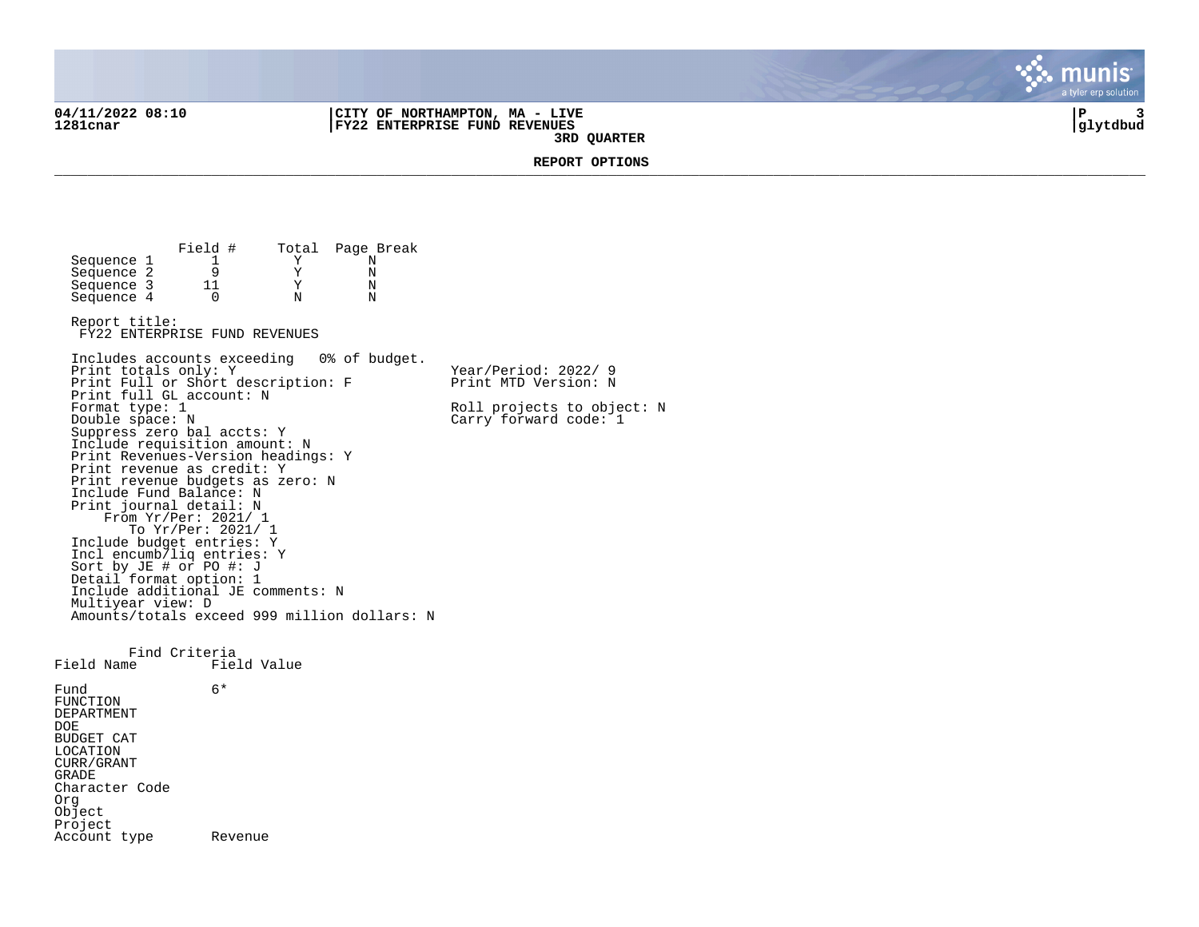04/11/2022 08:10 **| CITY OF NORTHAMPTON, MA - LIVE | p 3**<br>1281cnar **| P 3** | P 322 ENTERPRISE FUND REVENUES **1281cnar |FY22 ENTERPRISE FUND REVENUES |glytdbud 3RD QUARTER**



**REPORT OPTIONS**  \_\_\_\_\_\_\_\_\_\_\_\_\_\_\_\_\_\_\_\_\_\_\_\_\_\_\_\_\_\_\_\_\_\_\_\_\_\_\_\_\_\_\_\_\_\_\_\_\_\_\_\_\_\_\_\_\_\_\_\_\_\_\_\_\_\_\_\_\_\_\_\_\_\_\_\_\_\_\_\_\_\_\_\_\_\_\_\_\_\_\_\_\_\_\_\_\_\_\_\_\_\_\_\_\_\_\_\_\_\_\_\_\_\_\_\_\_\_\_\_\_\_\_\_\_\_\_\_\_\_\_\_

Field # Total Page Break<br>1 Y N Sequence 1 1 Y N<br>Sequence 2 9 Y N Sequence 2 9 9 Y N<br>Sequence 3 11 Y N Sequence 3 11 Y N<br>Sequence 4 0 N N  $Sequence 4$ Report title: FY22 ENTERPRISE FUND REVENUES Includes accounts exceeding 0% of budget. Print totals only: Y Y Year/Period: 2022/ 9 Print Full or Short description: F Print MTD Version: N Print full GL account: N<br>Format type: 1 Format type: 1 Roll projects to object: N<br>
Double space: N<br>
Carry forward code: 1  $Carry$  forward code:  $1$ Suppress zero bal accts: Y Include requisition amount: N Print Revenues-Version headings: Y Print revenue as credit: Y Print revenue budgets as zero: N Include Fund Balance: N Print journal detail: N From Yr/Per: 2021/ 1 To Yr/Per: 2021/ 1 Include budget entries: Y Incl encumb/liq entries: Y Sort by JE # or PO #: J Detail format option: 1 Include additional JE comments: N Multiyear view: D Amounts/totals exceed 999 million dollars: N Find Criteria<br>Field Name Fiel Field Value Fund 6\* FUNCTION DEPARTMENT DOE BUDGET CAT LOCATION CURR/GRANT GRADE Character Code Org Object Project Account type Revenue